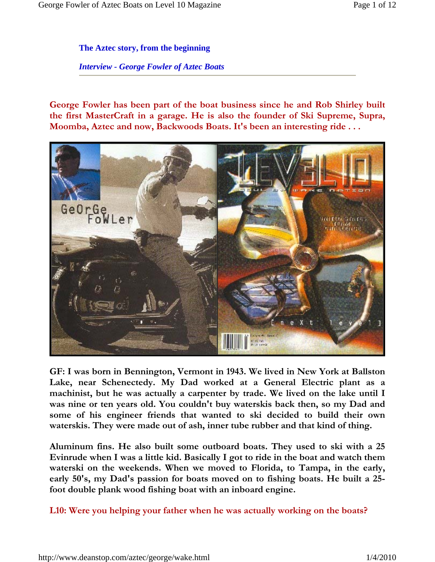**The Aztec story, from the beginning** 

*Interview - George Fowler of Aztec Boats*

**George Fowler has been part of the boat business since he and Rob Shirley built the first MasterCraft in a garage. He is also the founder of Ski Supreme, Supra, Moomba, Aztec and now, Backwoods Boats. It's been an interesting ride . . .** 



**GF: I was born in Bennington, Vermont in 1943. We lived in New York at Ballston Lake, near Schenectedy. My Dad worked at a General Electric plant as a machinist, but he was actually a carpenter by trade. We lived on the lake until I was nine or ten years old. You couldn't buy waterskis back then, so my Dad and some of his engineer friends that wanted to ski decided to build their own waterskis. They were made out of ash, inner tube rubber and that kind of thing.** 

**Aluminum fins. He also built some outboard boats. They used to ski with a 25 Evinrude when I was a little kid. Basically I got to ride in the boat and watch them waterski on the weekends. When we moved to Florida, to Tampa, in the early, early 50's, my Dad's passion for boats moved on to fishing boats. He built a 25 foot double plank wood fishing boat with an inboard engine.** 

**L10: Were you helping your father when he was actually working on the boats?**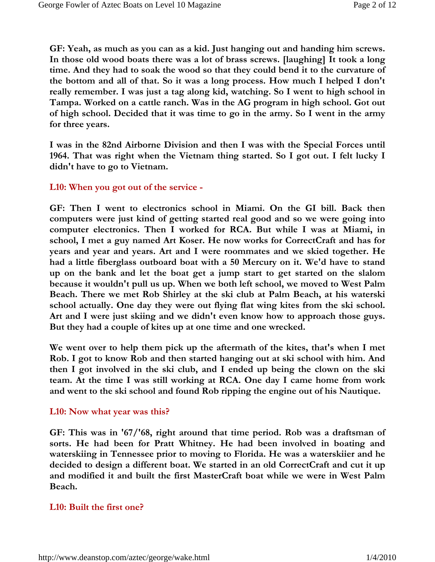**GF: Yeah, as much as you can as a kid. Just hanging out and handing him screws. In those old wood boats there was a lot of brass screws. [laughing] It took a long time. And they had to soak the wood so that they could bend it to the curvature of the bottom and all of that. So it was a long process. How much I helped I don't really remember. I was just a tag along kid, watching. So I went to high school in Tampa. Worked on a cattle ranch. Was in the AG program in high school. Got out of high school. Decided that it was time to go in the army. So I went in the army for three years.** 

**I was in the 82nd Airborne Division and then I was with the Special Forces until 1964. That was right when the Vietnam thing started. So I got out. I felt lucky I didn't have to go to Vietnam.** 

#### **L10: When you got out of the service -**

**GF: Then I went to electronics school in Miami. On the GI bill. Back then computers were just kind of getting started real good and so we were going into computer electronics. Then I worked for RCA. But while I was at Miami, in school, I met a guy named Art Koser. He now works for CorrectCraft and has for years and year and years. Art and I were roommates and we skied together. He had a little fiberglass outboard boat with a 50 Mercury on it. We'd have to stand up on the bank and let the boat get a jump start to get started on the slalom because it wouldn't pull us up. When we both left school, we moved to West Palm Beach. There we met Rob Shirley at the ski club at Palm Beach, at his waterski school actually. One day they were out flying flat wing kites from the ski school. Art and I were just skiing and we didn't even know how to approach those guys. But they had a couple of kites up at one time and one wrecked.** 

**We went over to help them pick up the aftermath of the kites, that's when I met Rob. I got to know Rob and then started hanging out at ski school with him. And then I got involved in the ski club, and I ended up being the clown on the ski team. At the time I was still working at RCA. One day I came home from work and went to the ski school and found Rob ripping the engine out of his Nautique.** 

#### **L10: Now what year was this?**

**GF: This was in '67/'68, right around that time period. Rob was a draftsman of sorts. He had been for Pratt Whitney. He had been involved in boating and waterskiing in Tennessee prior to moving to Florida. He was a waterskiier and he decided to design a different boat. We started in an old CorrectCraft and cut it up and modified it and built the first MasterCraft boat while we were in West Palm Beach.** 

#### **L10: Built the first one?**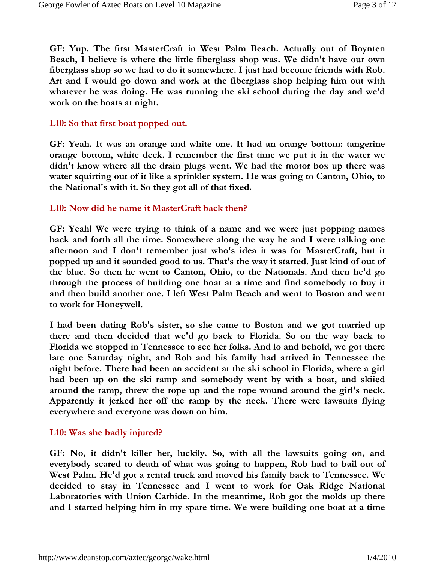**GF: Yup. The first MasterCraft in West Palm Beach. Actually out of Boynten Beach, I believe is where the little fiberglass shop was. We didn't have our own fiberglass shop so we had to do it somewhere. I just had become friends with Rob. Art and I would go down and work at the fiberglass shop helping him out with whatever he was doing. He was running the ski school during the day and we'd work on the boats at night.** 

## **L10: So that first boat popped out.**

**GF: Yeah. It was an orange and white one. It had an orange bottom: tangerine orange bottom, white deck. I remember the first time we put it in the water we didn't know where all the drain plugs went. We had the motor box up there was water squirting out of it like a sprinkler system. He was going to Canton, Ohio, to the National's with it. So they got all of that fixed.** 

## **L10: Now did he name it MasterCraft back then?**

**GF: Yeah! We were trying to think of a name and we were just popping names back and forth all the time. Somewhere along the way he and I were talking one afternoon and I don't remember just who's idea it was for MasterCraft, but it popped up and it sounded good to us. That's the way it started. Just kind of out of the blue. So then he went to Canton, Ohio, to the Nationals. And then he'd go through the process of building one boat at a time and find somebody to buy it and then build another one. I left West Palm Beach and went to Boston and went to work for Honeywell.** 

**I had been dating Rob's sister, so she came to Boston and we got married up there and then decided that we'd go back to Florida. So on the way back to Florida we stopped in Tennessee to see her folks. And lo and behold, we got there late one Saturday night, and Rob and his family had arrived in Tennessee the night before. There had been an accident at the ski school in Florida, where a girl had been up on the ski ramp and somebody went by with a boat, and skiied around the ramp, threw the rope up and the rope wound around the girl's neck. Apparently it jerked her off the ramp by the neck. There were lawsuits flying everywhere and everyone was down on him.** 

#### **L10: Was she badly injured?**

**GF: No, it didn't killer her, luckily. So, with all the lawsuits going on, and everybody scared to death of what was going to happen, Rob had to bail out of West Palm. He'd got a rental truck and moved his family back to Tennessee. We decided to stay in Tennessee and I went to work for Oak Ridge National Laboratories with Union Carbide. In the meantime, Rob got the molds up there and I started helping him in my spare time. We were building one boat at a time**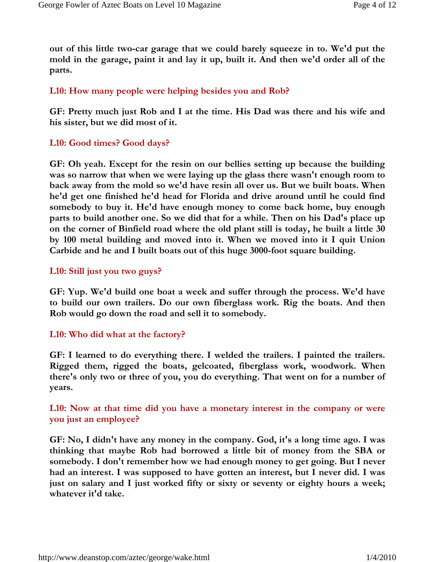**out of this little two-car garage that we could barely squeeze in to. We'd put the mold in the garage, paint it and lay it up, built it. And then we'd order all of the parts.** 

# **L10: How many people were helping besides you and Rob?**

**GF: Pretty much just Rob and I at the time. His Dad was there and his wife and his sister, but we did most of it.** 

# **L10: Good times? Good days?**

**GF: Oh yeah. Except for the resin on our bellies setting up because the building was so narrow that when we were laying up the glass there wasn't enough room to back away from the mold so we'd have resin all over us. But we built boats. When he'd get one finished he'd head for Florida and drive around until he could find somebody to buy it. He'd have enough money to come back home, buy enough parts to build another one. So we did that for a while. Then on his Dad's place up on the corner of Binfield road where the old plant still is today, he built a little 30 by 100 metal building and moved into it. When we moved into it I quit Union Carbide and he and I built boats out of this huge 3000-foot square building.** 

# **L10: Still just you two guys?**

**GF: Yup. We'd build one boat a week and suffer through the process. We'd have to build our own trailers. Do our own fiberglass work. Rig the boats. And then Rob would go down the road and sell it to somebody.** 

# **L10: Who did what at the factory?**

**GF: I learned to do everything there. I welded the trailers. I painted the trailers. Rigged them, rigged the boats, gelcoated, fiberglass work, woodwork. When there's only two or three of you, you do everything. That went on for a number of years.** 

# **L10: Now at that time did you have a monetary interest in the company or were you just an employee?**

**GF: No, I didn't have any money in the company. God, it's a long time ago. I was thinking that maybe Rob had borrowed a little bit of money from the SBA or somebody. I don't remember how we had enough money to get going. But I never had an interest. I was supposed to have gotten an interest, but I never did. I was just on salary and I just worked fifty or sixty or seventy or eighty hours a week; whatever it'd take.**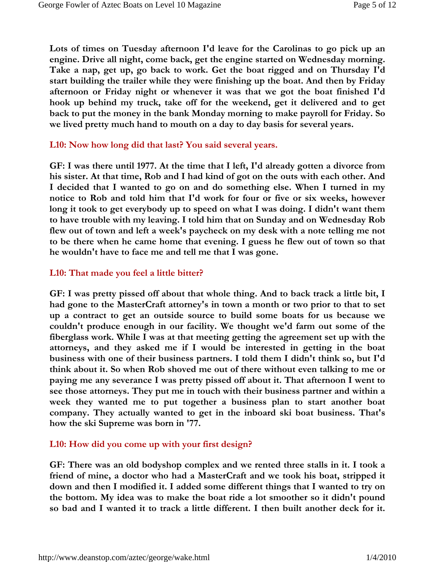**Lots of times on Tuesday afternoon I'd leave for the Carolinas to go pick up an engine. Drive all night, come back, get the engine started on Wednesday morning. Take a nap, get up, go back to work. Get the boat rigged and on Thursday I'd start building the trailer while they were finishing up the boat. And then by Friday afternoon or Friday night or whenever it was that we got the boat finished I'd hook up behind my truck, take off for the weekend, get it delivered and to get back to put the money in the bank Monday morning to make payroll for Friday. So we lived pretty much hand to mouth on a day to day basis for several years.** 

#### **L10: Now how long did that last? You said several years.**

**GF: I was there until 1977. At the time that I left, I'd already gotten a divorce from his sister. At that time, Rob and I had kind of got on the outs with each other. And I decided that I wanted to go on and do something else. When I turned in my notice to Rob and told him that I'd work for four or five or six weeks, however long it took to get everybody up to speed on what I was doing. I didn't want them to have trouble with my leaving. I told him that on Sunday and on Wednesday Rob flew out of town and left a week's paycheck on my desk with a note telling me not to be there when he came home that evening. I guess he flew out of town so that he wouldn't have to face me and tell me that I was gone.** 

# **L10: That made you feel a little bitter?**

**GF: I was pretty pissed off about that whole thing. And to back track a little bit, I had gone to the MasterCraft attorney's in town a month or two prior to that to set up a contract to get an outside source to build some boats for us because we couldn't produce enough in our facility. We thought we'd farm out some of the fiberglass work. While I was at that meeting getting the agreement set up with the attorneys, and they asked me if I would be interested in getting in the boat business with one of their business partners. I told them I didn't think so, but I'd think about it. So when Rob shoved me out of there without even talking to me or paying me any severance I was pretty pissed off about it. That afternoon I went to see those attorneys. They put me in touch with their business partner and within a week they wanted me to put together a business plan to start another boat company. They actually wanted to get in the inboard ski boat business. That's how the ski Supreme was born in '77.** 

# **L10: How did you come up with your first design?**

**GF: There was an old bodyshop complex and we rented three stalls in it. I took a friend of mine, a doctor who had a MasterCraft and we took his boat, stripped it down and then I modified it. I added some different things that I wanted to try on the bottom. My idea was to make the boat ride a lot smoother so it didn't pound so bad and I wanted it to track a little different. I then built another deck for it.**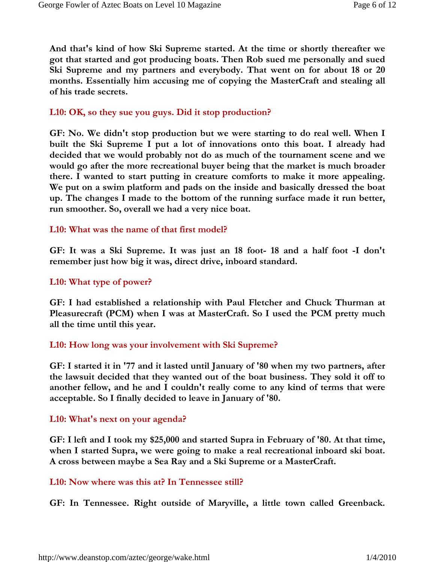**And that's kind of how Ski Supreme started. At the time or shortly thereafter we got that started and got producing boats. Then Rob sued me personally and sued Ski Supreme and my partners and everybody. That went on for about 18 or 20 months. Essentially him accusing me of copying the MasterCraft and stealing all of his trade secrets.** 

## **L10: OK, so they sue you guys. Did it stop production?**

**GF: No. We didn't stop production but we were starting to do real well. When I built the Ski Supreme I put a lot of innovations onto this boat. I already had decided that we would probably not do as much of the tournament scene and we would go after the more recreational buyer being that the market is much broader there. I wanted to start putting in creature comforts to make it more appealing. We put on a swim platform and pads on the inside and basically dressed the boat up. The changes I made to the bottom of the running surface made it run better, run smoother. So, overall we had a very nice boat.** 

#### **L10: What was the name of that first model?**

**GF: It was a Ski Supreme. It was just an 18 foot- 18 and a half foot -I don't remember just how big it was, direct drive, inboard standard.** 

#### **L10: What type of power?**

**GF: I had established a relationship with Paul Fletcher and Chuck Thurman at Pleasurecraft (PCM) when I was at MasterCraft. So I used the PCM pretty much all the time until this year.** 

#### **L10: How long was your involvement with Ski Supreme?**

**GF: I started it in '77 and it lasted until January of '80 when my two partners, after the lawsuit decided that they wanted out of the boat business. They sold it off to another fellow, and he and I couldn't really come to any kind of terms that were acceptable. So I finally decided to leave in January of '80.** 

#### **L10: What's next on your agenda?**

**GF: I left and I took my \$25,000 and started Supra in February of '80. At that time, when I started Supra, we were going to make a real recreational inboard ski boat. A cross between maybe a Sea Ray and a Ski Supreme or a MasterCraft.** 

#### **L10: Now where was this at? In Tennessee still?**

**GF: In Tennessee. Right outside of Maryville, a little town called Greenback.**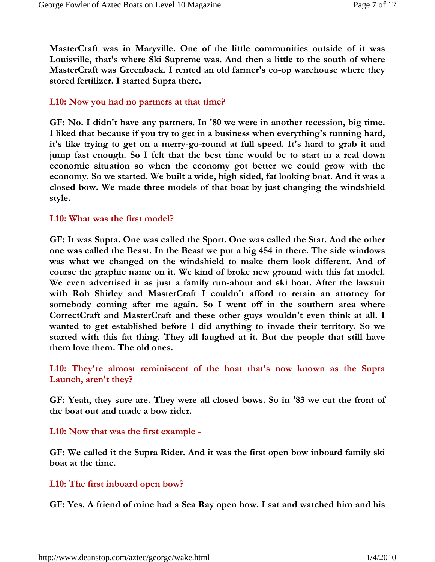**MasterCraft was in Maryville. One of the little communities outside of it was Louisville, that's where Ski Supreme was. And then a little to the south of where MasterCraft was Greenback. I rented an old farmer's co-op warehouse where they stored fertilizer. I started Supra there.** 

## **L10: Now you had no partners at that time?**

**GF: No. I didn't have any partners. In '80 we were in another recession, big time. I liked that because if you try to get in a business when everything's running hard, it's like trying to get on a merry-go-round at full speed. It's hard to grab it and jump fast enough. So I felt that the best time would be to start in a real down economic situation so when the economy got better we could grow with the economy. So we started. We built a wide, high sided, fat looking boat. And it was a closed bow. We made three models of that boat by just changing the windshield style.** 

#### **L10: What was the first model?**

**GF: It was Supra. One was called the Sport. One was called the Star. And the other one was called the Beast. In the Beast we put a big 454 in there. The side windows was what we changed on the windshield to make them look different. And of course the graphic name on it. We kind of broke new ground with this fat model. We even advertised it as just a family run-about and ski boat. After the lawsuit with Rob Shirley and MasterCraft I couldn't afford to retain an attorney for somebody coming after me again. So I went off in the southern area where CorrectCraft and MasterCraft and these other guys wouldn't even think at all. I wanted to get established before I did anything to invade their territory. So we started with this fat thing. They all laughed at it. But the people that still have them love them. The old ones.** 

# **L10: They're almost reminiscent of the boat that's now known as the Supra Launch, aren't they?**

**GF: Yeah, they sure are. They were all closed bows. So in '83 we cut the front of the boat out and made a bow rider.** 

# **L10: Now that was the first example -**

**GF: We called it the Supra Rider. And it was the first open bow inboard family ski boat at the time.** 

# **L10: The first inboard open bow?**

**GF: Yes. A friend of mine had a Sea Ray open bow. I sat and watched him and his**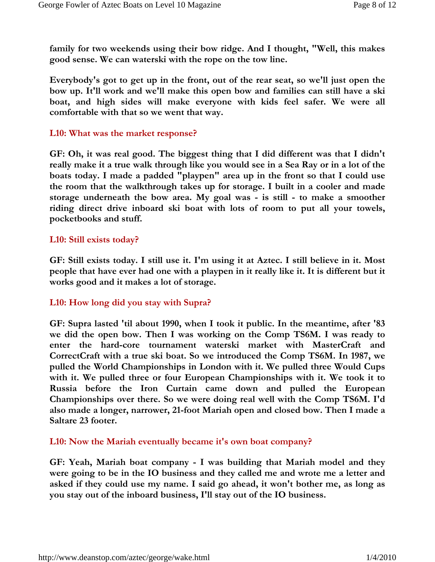**family for two weekends using their bow ridge. And I thought, "Well, this makes good sense. We can waterski with the rope on the tow line.** 

**Everybody's got to get up in the front, out of the rear seat, so we'll just open the bow up. It'll work and we'll make this open bow and families can still have a ski boat, and high sides will make everyone with kids feel safer. We were all comfortable with that so we went that way.** 

## **L10: What was the market response?**

**GF: Oh, it was real good. The biggest thing that I did different was that I didn't really make it a true walk through like you would see in a Sea Ray or in a lot of the boats today. I made a padded "playpen" area up in the front so that I could use the room that the walkthrough takes up for storage. I built in a cooler and made storage underneath the bow area. My goal was - is still - to make a smoother riding direct drive inboard ski boat with lots of room to put all your towels, pocketbooks and stuff.** 

## **L10: Still exists today?**

**GF: Still exists today. I still use it. I'm using it at Aztec. I still believe in it. Most people that have ever had one with a playpen in it really like it. It is different but it works good and it makes a lot of storage.** 

# **L10: How long did you stay with Supra?**

**GF: Supra lasted 'til about 1990, when I took it public. In the meantime, after '83 we did the open bow. Then I was working on the Comp TS6M. I was ready to enter the hard-core tournament waterski market with MasterCraft and CorrectCraft with a true ski boat. So we introduced the Comp TS6M. In 1987, we pulled the World Championships in London with it. We pulled three Would Cups with it. We pulled three or four European Championships with it. We took it to Russia before the Iron Curtain came down and pulled the European Championships over there. So we were doing real well with the Comp TS6M. I'd also made a longer, narrower, 21-foot Mariah open and closed bow. Then I made a Saltare 23 footer.** 

**L10: Now the Mariah eventually became it's own boat company?** 

**GF: Yeah, Mariah boat company - I was building that Mariah model and they were going to be in the IO business and they called me and wrote me a letter and asked if they could use my name. I said go ahead, it won't bother me, as long as you stay out of the inboard business, I'll stay out of the IO business.**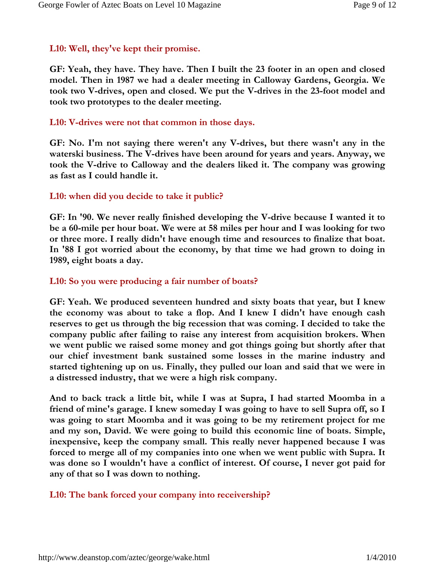# **L10: Well, they've kept their promise.**

**GF: Yeah, they have. They have. Then I built the 23 footer in an open and closed model. Then in 1987 we had a dealer meeting in Calloway Gardens, Georgia. We took two V-drives, open and closed. We put the V-drives in the 23-foot model and took two prototypes to the dealer meeting.** 

# **L10: V-drives were not that common in those days.**

**GF: No. I'm not saying there weren't any V-drives, but there wasn't any in the waterski business. The V-drives have been around for years and years. Anyway, we took the V-drive to Calloway and the dealers liked it. The company was growing as fast as I could handle it.** 

# **L10: when did you decide to take it public?**

**GF: In '90. We never really finished developing the V-drive because I wanted it to be a 60-mile per hour boat. We were at 58 miles per hour and I was looking for two or three more. I really didn't have enough time and resources to finalize that boat. In '88 I got worried about the economy, by that time we had grown to doing in 1989, eight boats a day.** 

# **L10: So you were producing a fair number of boats?**

**GF: Yeah. We produced seventeen hundred and sixty boats that year, but I knew the economy was about to take a flop. And I knew I didn't have enough cash reserves to get us through the big recession that was coming. I decided to take the company public after failing to raise any interest from acquisition brokers. When we went public we raised some money and got things going but shortly after that our chief investment bank sustained some losses in the marine industry and started tightening up on us. Finally, they pulled our loan and said that we were in a distressed industry, that we were a high risk company.** 

**And to back track a little bit, while I was at Supra, I had started Moomba in a friend of mine's garage. I knew someday I was going to have to sell Supra off, so I was going to start Moomba and it was going to be my retirement project for me and my son, David. We were going to build this economic line of boats. Simple, inexpensive, keep the company small. This really never happened because I was forced to merge all of my companies into one when we went public with Supra. It was done so I wouldn't have a conflict of interest. Of course, I never got paid for any of that so I was down to nothing.** 

# **L10: The bank forced your company into receivership?**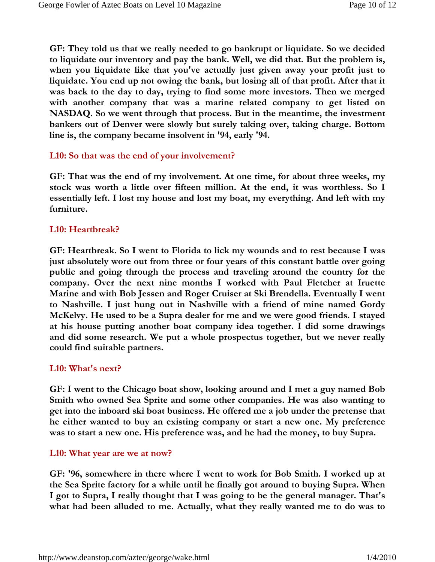**GF: They told us that we really needed to go bankrupt or liquidate. So we decided to liquidate our inventory and pay the bank. Well, we did that. But the problem is, when you liquidate like that you've actually just given away your profit just to liquidate. You end up not owing the bank, but losing all of that profit. After that it was back to the day to day, trying to find some more investors. Then we merged with another company that was a marine related company to get listed on NASDAQ. So we went through that process. But in the meantime, the investment bankers out of Denver were slowly but surely taking over, taking charge. Bottom line is, the company became insolvent in '94, early '94.** 

#### **L10: So that was the end of your involvement?**

**GF: That was the end of my involvement. At one time, for about three weeks, my stock was worth a little over fifteen million. At the end, it was worthless. So I essentially left. I lost my house and lost my boat, my everything. And left with my furniture.** 

## **L10: Heartbreak?**

**GF: Heartbreak. So I went to Florida to lick my wounds and to rest because I was just absolutely wore out from three or four years of this constant battle over going public and going through the process and traveling around the country for the company. Over the next nine months I worked with Paul Fletcher at Iruette Marine and with Bob Jessen and Roger Cruiser at Ski Brendella. Eventually I went to Nashville. I just hung out in Nashville with a friend of mine named Gordy McKelvy. He used to be a Supra dealer for me and we were good friends. I stayed at his house putting another boat company idea together. I did some drawings and did some research. We put a whole prospectus together, but we never really could find suitable partners.** 

#### **L10: What's next?**

**GF: I went to the Chicago boat show, looking around and I met a guy named Bob Smith who owned Sea Sprite and some other companies. He was also wanting to get into the inboard ski boat business. He offered me a job under the pretense that he either wanted to buy an existing company or start a new one. My preference was to start a new one. His preference was, and he had the money, to buy Supra.** 

#### **L10: What year are we at now?**

**GF: '96, somewhere in there where I went to work for Bob Smith. I worked up at the Sea Sprite factory for a while until he finally got around to buying Supra. When I got to Supra, I really thought that I was going to be the general manager. That's what had been alluded to me. Actually, what they really wanted me to do was to**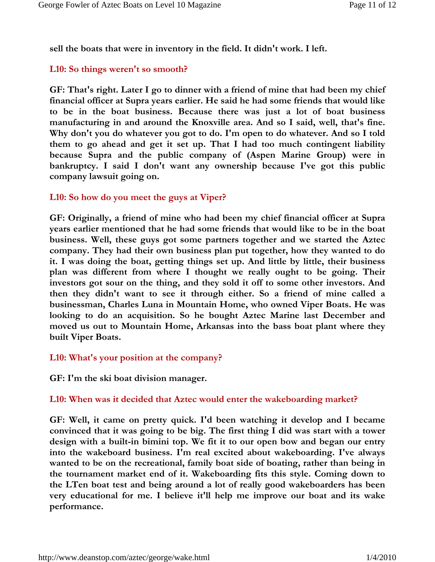**sell the boats that were in inventory in the field. It didn't work. I left.** 

# **L10: So things weren't so smooth?**

**GF: That's right. Later I go to dinner with a friend of mine that had been my chief financial officer at Supra years earlier. He said he had some friends that would like to be in the boat business. Because there was just a lot of boat business manufacturing in and around the Knoxville area. And so I said, well, that's fine. Why don't you do whatever you got to do. I'm open to do whatever. And so I told them to go ahead and get it set up. That I had too much contingent liability because Supra and the public company of (Aspen Marine Group) were in bankruptcy. I said I don't want any ownership because I've got this public company lawsuit going on.** 

# **L10: So how do you meet the guys at Viper?**

**GF: Originally, a friend of mine who had been my chief financial officer at Supra years earlier mentioned that he had some friends that would like to be in the boat business. Well, these guys got some partners together and we started the Aztec company. They had their own business plan put together, how they wanted to do it. I was doing the boat, getting things set up. And little by little, their business plan was different from where I thought we really ought to be going. Their investors got sour on the thing, and they sold it off to some other investors. And then they didn't want to see it through either. So a friend of mine called a businessman, Charles Luna in Mountain Home, who owned Viper Boats. He was looking to do an acquisition. So he bought Aztec Marine last December and moved us out to Mountain Home, Arkansas into the bass boat plant where they built Viper Boats.** 

# **L10: What's your position at the company?**

**GF: I'm the ski boat division manager.** 

# **L10: When was it decided that Aztec would enter the wakeboarding market?**

**GF: Well, it came on pretty quick. I'd been watching it develop and I became convinced that it was going to be big. The first thing I did was start with a tower design with a built-in bimini top. We fit it to our open bow and began our entry into the wakeboard business. I'm real excited about wakeboarding. I've always wanted to be on the recreational, family boat side of boating, rather than being in the tournament market end of it. Wakeboarding fits this style. Coming down to the LTen boat test and being around a lot of really good wakeboarders has been very educational for me. I believe it'll help me improve our boat and its wake performance.**